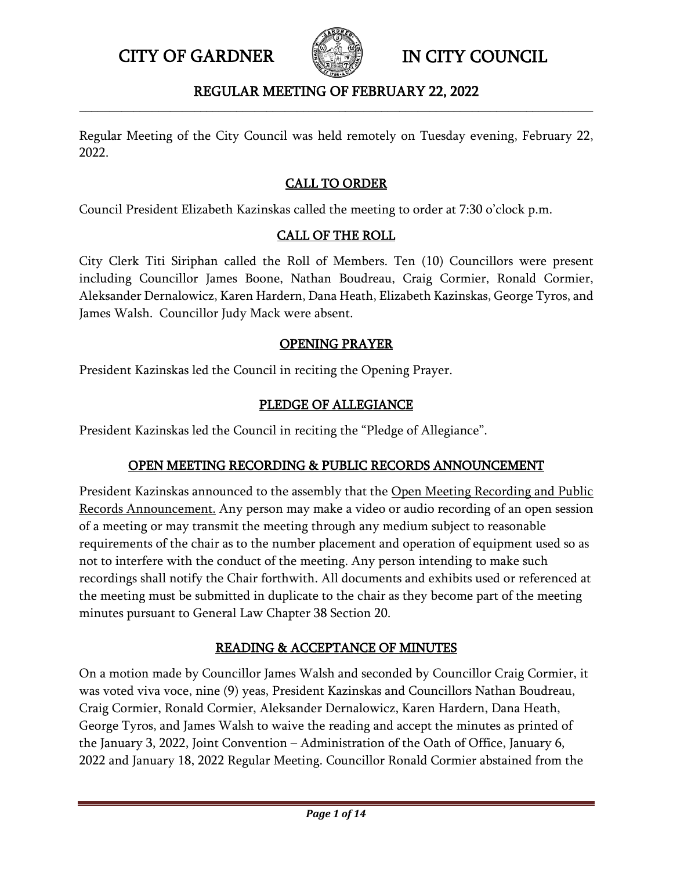

## REGULAR MEETING OF FEBRUARY 22, 2022 **\_\_\_\_\_\_\_\_\_\_\_\_\_\_\_\_\_\_\_\_\_\_\_\_\_\_\_\_\_\_\_\_\_\_\_\_\_\_\_\_\_\_\_\_\_\_\_\_\_\_\_\_\_\_\_\_\_\_\_\_\_\_\_\_\_\_\_\_\_\_\_\_\_\_\_\_\_\_\_\_\_\_\_\_\_**

Regular Meeting of the City Council was held remotely on Tuesday evening, February 22, 2022.

## CALL TO ORDER

Council President Elizabeth Kazinskas called the meeting to order at 7:30 o'clock p.m.

## CALL OF THE ROLL

City Clerk Titi Siriphan called the Roll of Members. Ten (10) Councillors were present including Councillor James Boone, Nathan Boudreau, Craig Cormier, Ronald Cormier, Aleksander Dernalowicz, Karen Hardern, Dana Heath, Elizabeth Kazinskas, George Tyros, and James Walsh. Councillor Judy Mack were absent.

### OPENING PRAYER

President Kazinskas led the Council in reciting the Opening Prayer.

### PLEDGE OF ALLEGIANCE

President Kazinskas led the Council in reciting the "Pledge of Allegiance".

## OPEN MEETING RECORDING & PUBLIC RECORDS ANNOUNCEMENT

President Kazinskas announced to the assembly that the Open Meeting Recording and Public Records Announcement. Any person may make a video or audio recording of an open session of a meeting or may transmit the meeting through any medium subject to reasonable requirements of the chair as to the number placement and operation of equipment used so as not to interfere with the conduct of the meeting. Any person intending to make such recordings shall notify the Chair forthwith. All documents and exhibits used or referenced at the meeting must be submitted in duplicate to the chair as they become part of the meeting minutes pursuant to General Law Chapter 38 Section 20.

# READING & ACCEPTANCE OF MINUTES

On a motion made by Councillor James Walsh and seconded by Councillor Craig Cormier, it was voted viva voce, nine (9) yeas, President Kazinskas and Councillors Nathan Boudreau, Craig Cormier, Ronald Cormier, Aleksander Dernalowicz, Karen Hardern, Dana Heath, George Tyros, and James Walsh to waive the reading and accept the minutes as printed of the January 3, 2022, Joint Convention – Administration of the Oath of Office, January 6, 2022 and January 18, 2022 Regular Meeting. Councillor Ronald Cormier abstained from the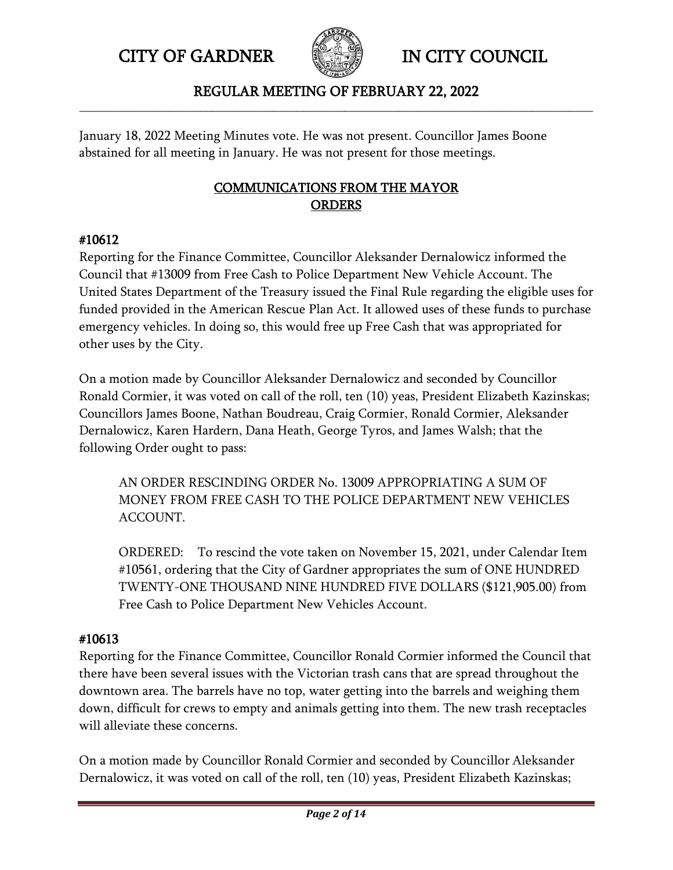

## REGULAR MEETING OF FEBRUARY 22, 2022 **\_\_\_\_\_\_\_\_\_\_\_\_\_\_\_\_\_\_\_\_\_\_\_\_\_\_\_\_\_\_\_\_\_\_\_\_\_\_\_\_\_\_\_\_\_\_\_\_\_\_\_\_\_\_\_\_\_\_\_\_\_\_\_\_\_\_\_\_\_\_\_\_\_\_\_\_\_\_\_\_\_\_\_\_\_**

January 18, 2022 Meeting Minutes vote. He was not present. Councillor James Boone abstained for all meeting in January. He was not present for those meetings.

# COMMUNICATIONS FROM THE MAYOR **ORDERS**

## #10612

Reporting for the Finance Committee, Councillor Aleksander Dernalowicz informed the Council that #13009 from Free Cash to Police Department New Vehicle Account. The United States Department of the Treasury issued the Final Rule regarding the eligible uses for funded provided in the American Rescue Plan Act. It allowed uses of these funds to purchase emergency vehicles. In doing so, this would free up Free Cash that was appropriated for other uses by the City.

On a motion made by Councillor Aleksander Dernalowicz and seconded by Councillor Ronald Cormier, it was voted on call of the roll, ten (10) yeas, President Elizabeth Kazinskas; Councillors James Boone, Nathan Boudreau, Craig Cormier, Ronald Cormier, Aleksander Dernalowicz, Karen Hardern, Dana Heath, George Tyros, and James Walsh; that the following Order ought to pass:

AN ORDER RESCINDING ORDER No. 13009 APPROPRIATING A SUM OF MONEY FROM FREE CASH TO THE POLICE DEPARTMENT NEW VEHICLES ACCOUNT.

ORDERED: To rescind the vote taken on November 15, 2021, under Calendar Item #10561, ordering that the City of Gardner appropriates the sum of ONE HUNDRED TWENTY-ONE THOUSAND NINE HUNDRED FIVE DOLLARS (\$121,905.00) from Free Cash to Police Department New Vehicles Account.

# #10613

Reporting for the Finance Committee, Councillor Ronald Cormier informed the Council that there have been several issues with the Victorian trash cans that are spread throughout the downtown area. The barrels have no top, water getting into the barrels and weighing them down, difficult for crews to empty and animals getting into them. The new trash receptacles will alleviate these concerns.

On a motion made by Councillor Ronald Cormier and seconded by Councillor Aleksander Dernalowicz, it was voted on call of the roll, ten (10) yeas, President Elizabeth Kazinskas;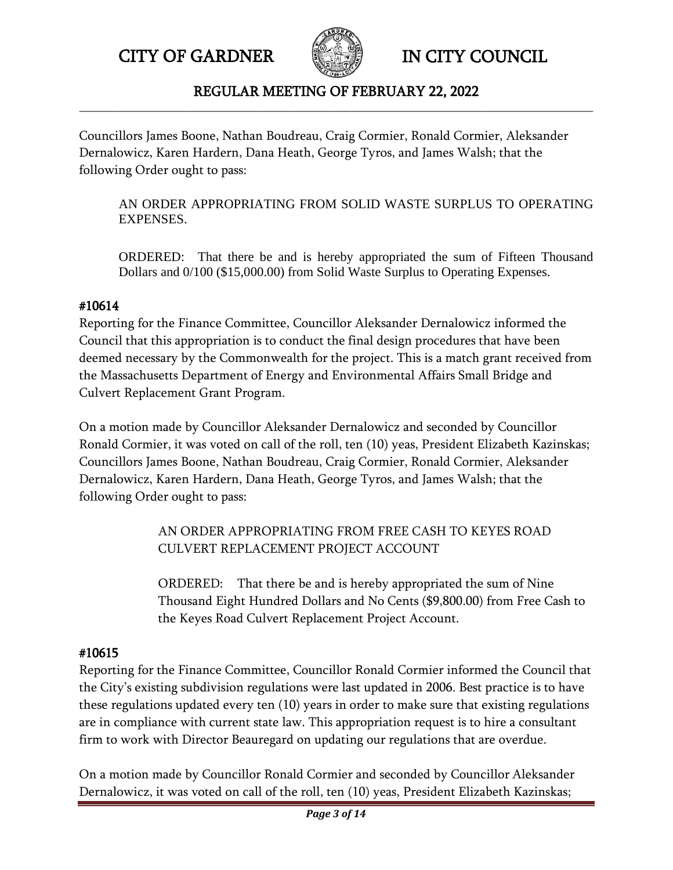

### REGULAR MEETING OF FEBRUARY 22, 2022 **\_\_\_\_\_\_\_\_\_\_\_\_\_\_\_\_\_\_\_\_\_\_\_\_\_\_\_\_\_\_\_\_\_\_\_\_\_\_\_\_\_\_\_\_\_\_\_\_\_\_\_\_\_\_\_\_\_\_\_\_\_\_\_\_\_\_\_\_\_\_\_\_\_\_\_\_\_\_\_\_\_\_\_\_\_**

Councillors James Boone, Nathan Boudreau, Craig Cormier, Ronald Cormier, Aleksander Dernalowicz, Karen Hardern, Dana Heath, George Tyros, and James Walsh; that the following Order ought to pass:

AN ORDER APPROPRIATING FROM SOLID WASTE SURPLUS TO OPERATING EXPENSES.

ORDERED: That there be and is hereby appropriated the sum of Fifteen Thousand Dollars and 0/100 (\$15,000.00) from Solid Waste Surplus to Operating Expenses.

# #10614

Reporting for the Finance Committee, Councillor Aleksander Dernalowicz informed the Council that this appropriation is to conduct the final design procedures that have been deemed necessary by the Commonwealth for the project. This is a match grant received from the Massachusetts Department of Energy and Environmental Affairs Small Bridge and Culvert Replacement Grant Program.

On a motion made by Councillor Aleksander Dernalowicz and seconded by Councillor Ronald Cormier, it was voted on call of the roll, ten (10) yeas, President Elizabeth Kazinskas; Councillors James Boone, Nathan Boudreau, Craig Cormier, Ronald Cormier, Aleksander Dernalowicz, Karen Hardern, Dana Heath, George Tyros, and James Walsh; that the following Order ought to pass:

> AN ORDER APPROPRIATING FROM FREE CASH TO KEYES ROAD CULVERT REPLACEMENT PROJECT ACCOUNT

ORDERED: That there be and is hereby appropriated the sum of Nine Thousand Eight Hundred Dollars and No Cents (\$9,800.00) from Free Cash to the Keyes Road Culvert Replacement Project Account.

# #10615

Reporting for the Finance Committee, Councillor Ronald Cormier informed the Council that the City's existing subdivision regulations were last updated in 2006. Best practice is to have these regulations updated every ten (10) years in order to make sure that existing regulations are in compliance with current state law. This appropriation request is to hire a consultant firm to work with Director Beauregard on updating our regulations that are overdue.

On a motion made by Councillor Ronald Cormier and seconded by Councillor Aleksander Dernalowicz, it was voted on call of the roll, ten (10) yeas, President Elizabeth Kazinskas;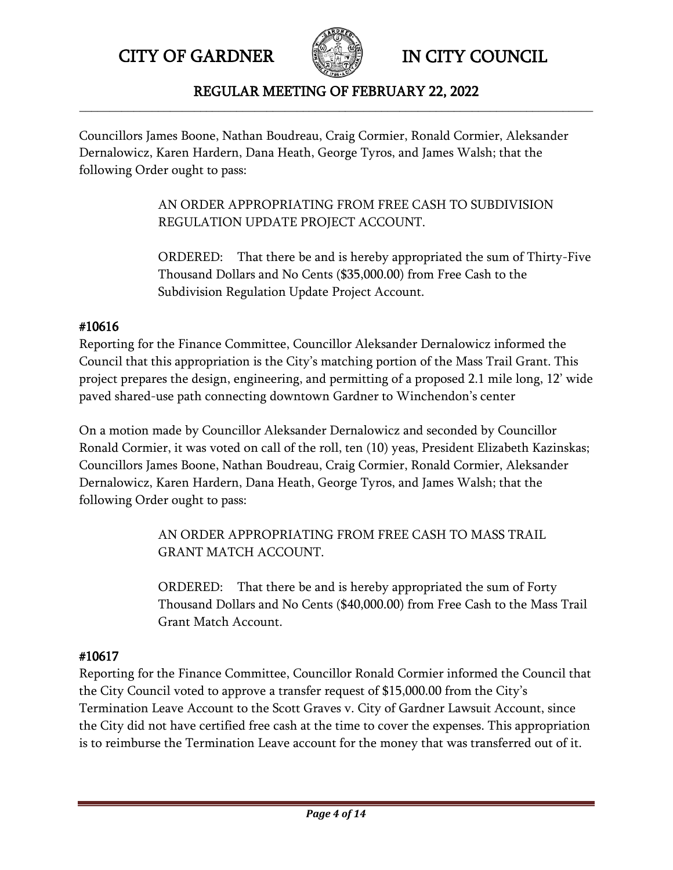

### REGULAR MEETING OF FEBRUARY 22, 2022 **\_\_\_\_\_\_\_\_\_\_\_\_\_\_\_\_\_\_\_\_\_\_\_\_\_\_\_\_\_\_\_\_\_\_\_\_\_\_\_\_\_\_\_\_\_\_\_\_\_\_\_\_\_\_\_\_\_\_\_\_\_\_\_\_\_\_\_\_\_\_\_\_\_\_\_\_\_\_\_\_\_\_\_\_\_**

Councillors James Boone, Nathan Boudreau, Craig Cormier, Ronald Cormier, Aleksander Dernalowicz, Karen Hardern, Dana Heath, George Tyros, and James Walsh; that the following Order ought to pass:

> AN ORDER APPROPRIATING FROM FREE CASH TO SUBDIVISION REGULATION UPDATE PROJECT ACCOUNT.

ORDERED: That there be and is hereby appropriated the sum of Thirty-Five Thousand Dollars and No Cents (\$35,000.00) from Free Cash to the Subdivision Regulation Update Project Account.

## #10616

Reporting for the Finance Committee, Councillor Aleksander Dernalowicz informed the Council that this appropriation is the City's matching portion of the Mass Trail Grant. This project prepares the design, engineering, and permitting of a proposed 2.1 mile long, 12' wide paved shared-use path connecting downtown Gardner to Winchendon's center

On a motion made by Councillor Aleksander Dernalowicz and seconded by Councillor Ronald Cormier, it was voted on call of the roll, ten (10) yeas, President Elizabeth Kazinskas; Councillors James Boone, Nathan Boudreau, Craig Cormier, Ronald Cormier, Aleksander Dernalowicz, Karen Hardern, Dana Heath, George Tyros, and James Walsh; that the following Order ought to pass:

> AN ORDER APPROPRIATING FROM FREE CASH TO MASS TRAIL GRANT MATCH ACCOUNT.

ORDERED: That there be and is hereby appropriated the sum of Forty Thousand Dollars and No Cents (\$40,000.00) from Free Cash to the Mass Trail Grant Match Account.

# #10617

Reporting for the Finance Committee, Councillor Ronald Cormier informed the Council that the City Council voted to approve a transfer request of \$15,000.00 from the City's Termination Leave Account to the Scott Graves v. City of Gardner Lawsuit Account, since the City did not have certified free cash at the time to cover the expenses. This appropriation is to reimburse the Termination Leave account for the money that was transferred out of it.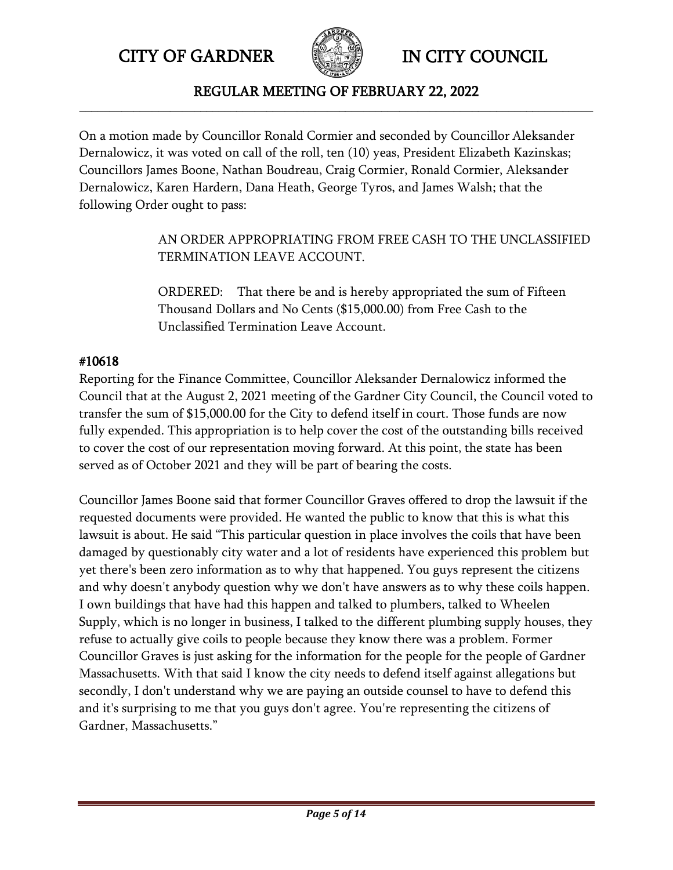

REGULAR MEETING OF FEBRUARY 22, 2022 **\_\_\_\_\_\_\_\_\_\_\_\_\_\_\_\_\_\_\_\_\_\_\_\_\_\_\_\_\_\_\_\_\_\_\_\_\_\_\_\_\_\_\_\_\_\_\_\_\_\_\_\_\_\_\_\_\_\_\_\_\_\_\_\_\_\_\_\_\_\_\_\_\_\_\_\_\_\_\_\_\_\_\_\_\_**

On a motion made by Councillor Ronald Cormier and seconded by Councillor Aleksander Dernalowicz, it was voted on call of the roll, ten (10) yeas, President Elizabeth Kazinskas; Councillors James Boone, Nathan Boudreau, Craig Cormier, Ronald Cormier, Aleksander Dernalowicz, Karen Hardern, Dana Heath, George Tyros, and James Walsh; that the following Order ought to pass:

> AN ORDER APPROPRIATING FROM FREE CASH TO THE UNCLASSIFIED TERMINATION LEAVE ACCOUNT.

ORDERED: That there be and is hereby appropriated the sum of Fifteen Thousand Dollars and No Cents (\$15,000.00) from Free Cash to the Unclassified Termination Leave Account.

# #10618

Reporting for the Finance Committee, Councillor Aleksander Dernalowicz informed the Council that at the August 2, 2021 meeting of the Gardner City Council, the Council voted to transfer the sum of \$15,000.00 for the City to defend itself in court. Those funds are now fully expended. This appropriation is to help cover the cost of the outstanding bills received to cover the cost of our representation moving forward. At this point, the state has been served as of October 2021 and they will be part of bearing the costs.

Councillor James Boone said that former Councillor Graves offered to drop the lawsuit if the requested documents were provided. He wanted the public to know that this is what this lawsuit is about. He said "This particular question in place involves the coils that have been damaged by questionably city water and a lot of residents have experienced this problem but yet there's been zero information as to why that happened. You guys represent the citizens and why doesn't anybody question why we don't have answers as to why these coils happen. I own buildings that have had this happen and talked to plumbers, talked to Wheelen Supply, which is no longer in business, I talked to the different plumbing supply houses, they refuse to actually give coils to people because they know there was a problem. Former Councillor Graves is just asking for the information for the people for the people of Gardner Massachusetts. With that said I know the city needs to defend itself against allegations but secondly, I don't understand why we are paying an outside counsel to have to defend this and it's surprising to me that you guys don't agree. You're representing the citizens of Gardner, Massachusetts."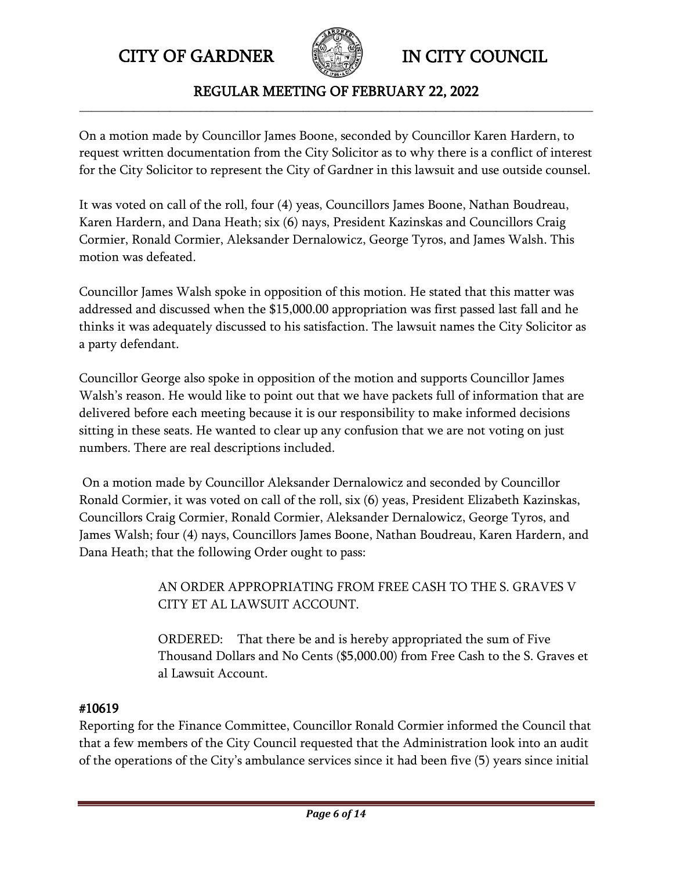

### REGULAR MEETING OF FEBRUARY 22, 2022 **\_\_\_\_\_\_\_\_\_\_\_\_\_\_\_\_\_\_\_\_\_\_\_\_\_\_\_\_\_\_\_\_\_\_\_\_\_\_\_\_\_\_\_\_\_\_\_\_\_\_\_\_\_\_\_\_\_\_\_\_\_\_\_\_\_\_\_\_\_\_\_\_\_\_\_\_\_\_\_\_\_\_\_\_\_**

On a motion made by Councillor James Boone, seconded by Councillor Karen Hardern, to request written documentation from the City Solicitor as to why there is a conflict of interest for the City Solicitor to represent the City of Gardner in this lawsuit and use outside counsel.

It was voted on call of the roll, four (4) yeas, Councillors James Boone, Nathan Boudreau, Karen Hardern, and Dana Heath; six (6) nays, President Kazinskas and Councillors Craig Cormier, Ronald Cormier, Aleksander Dernalowicz, George Tyros, and James Walsh. This motion was defeated.

Councillor James Walsh spoke in opposition of this motion. He stated that this matter was addressed and discussed when the \$15,000.00 appropriation was first passed last fall and he thinks it was adequately discussed to his satisfaction. The lawsuit names the City Solicitor as a party defendant.

Councillor George also spoke in opposition of the motion and supports Councillor James Walsh's reason. He would like to point out that we have packets full of information that are delivered before each meeting because it is our responsibility to make informed decisions sitting in these seats. He wanted to clear up any confusion that we are not voting on just numbers. There are real descriptions included.

On a motion made by Councillor Aleksander Dernalowicz and seconded by Councillor Ronald Cormier, it was voted on call of the roll, six (6) yeas, President Elizabeth Kazinskas, Councillors Craig Cormier, Ronald Cormier, Aleksander Dernalowicz, George Tyros, and James Walsh; four (4) nays, Councillors James Boone, Nathan Boudreau, Karen Hardern, and Dana Heath; that the following Order ought to pass:

> AN ORDER APPROPRIATING FROM FREE CASH TO THE S. GRAVES V CITY ET AL LAWSUIT ACCOUNT.

ORDERED: That there be and is hereby appropriated the sum of Five Thousand Dollars and No Cents (\$5,000.00) from Free Cash to the S. Graves et al Lawsuit Account.

# #10619

Reporting for the Finance Committee, Councillor Ronald Cormier informed the Council that that a few members of the City Council requested that the Administration look into an audit of the operations of the City's ambulance services since it had been five (5) years since initial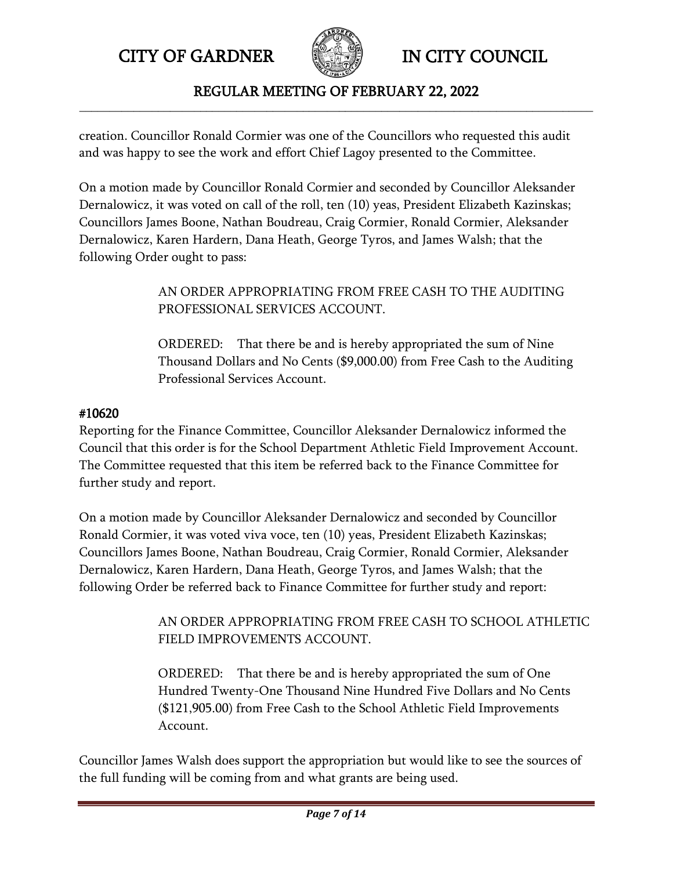

REGULAR MEETING OF FEBRUARY 22, 2022 **\_\_\_\_\_\_\_\_\_\_\_\_\_\_\_\_\_\_\_\_\_\_\_\_\_\_\_\_\_\_\_\_\_\_\_\_\_\_\_\_\_\_\_\_\_\_\_\_\_\_\_\_\_\_\_\_\_\_\_\_\_\_\_\_\_\_\_\_\_\_\_\_\_\_\_\_\_\_\_\_\_\_\_\_\_**

creation. Councillor Ronald Cormier was one of the Councillors who requested this audit and was happy to see the work and effort Chief Lagoy presented to the Committee.

On a motion made by Councillor Ronald Cormier and seconded by Councillor Aleksander Dernalowicz, it was voted on call of the roll, ten (10) yeas, President Elizabeth Kazinskas; Councillors James Boone, Nathan Boudreau, Craig Cormier, Ronald Cormier, Aleksander Dernalowicz, Karen Hardern, Dana Heath, George Tyros, and James Walsh; that the following Order ought to pass:

> AN ORDER APPROPRIATING FROM FREE CASH TO THE AUDITING PROFESSIONAL SERVICES ACCOUNT.

ORDERED: That there be and is hereby appropriated the sum of Nine Thousand Dollars and No Cents (\$9,000.00) from Free Cash to the Auditing Professional Services Account.

## #10620

Reporting for the Finance Committee, Councillor Aleksander Dernalowicz informed the Council that this order is for the School Department Athletic Field Improvement Account. The Committee requested that this item be referred back to the Finance Committee for further study and report.

On a motion made by Councillor Aleksander Dernalowicz and seconded by Councillor Ronald Cormier, it was voted viva voce, ten (10) yeas, President Elizabeth Kazinskas; Councillors James Boone, Nathan Boudreau, Craig Cormier, Ronald Cormier, Aleksander Dernalowicz, Karen Hardern, Dana Heath, George Tyros, and James Walsh; that the following Order be referred back to Finance Committee for further study and report:

> AN ORDER APPROPRIATING FROM FREE CASH TO SCHOOL ATHLETIC FIELD IMPROVEMENTS ACCOUNT.

ORDERED: That there be and is hereby appropriated the sum of One Hundred Twenty-One Thousand Nine Hundred Five Dollars and No Cents (\$121,905.00) from Free Cash to the School Athletic Field Improvements Account.

Councillor James Walsh does support the appropriation but would like to see the sources of the full funding will be coming from and what grants are being used.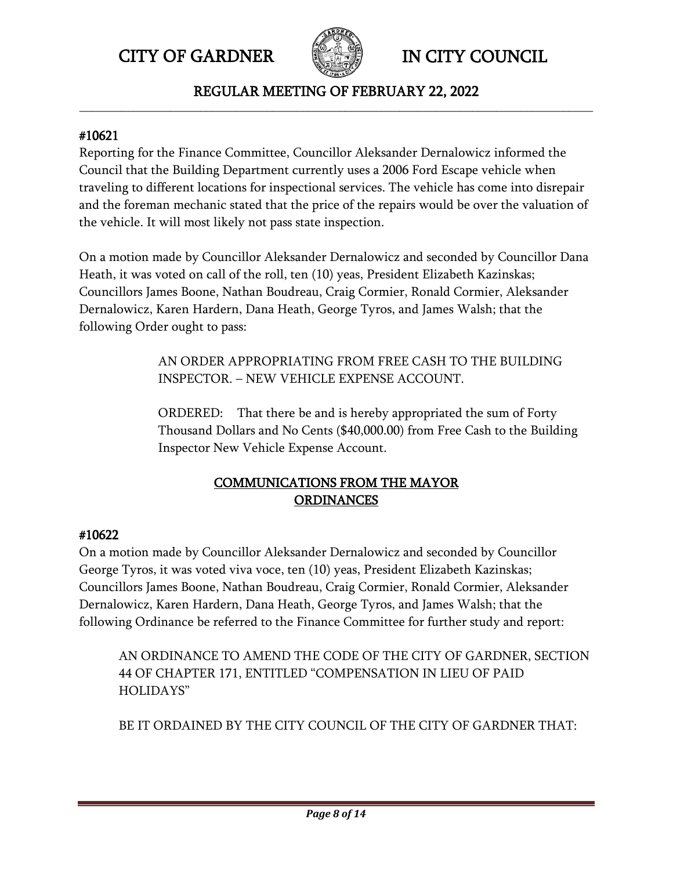

REGULAR MEETING OF FEBRUARY 22, 2022 **\_\_\_\_\_\_\_\_\_\_\_\_\_\_\_\_\_\_\_\_\_\_\_\_\_\_\_\_\_\_\_\_\_\_\_\_\_\_\_\_\_\_\_\_\_\_\_\_\_\_\_\_\_\_\_\_\_\_\_\_\_\_\_\_\_\_\_\_\_\_\_\_\_\_\_\_\_\_\_\_\_\_\_\_\_**

## #10621

Reporting for the Finance Committee, Councillor Aleksander Dernalowicz informed the Council that the Building Department currently uses a 2006 Ford Escape vehicle when traveling to different locations for inspectional services. The vehicle has come into disrepair and the foreman mechanic stated that the price of the repairs would be over the valuation of the vehicle. It will most likely not pass state inspection.

On a motion made by Councillor Aleksander Dernalowicz and seconded by Councillor Dana Heath, it was voted on call of the roll, ten (10) yeas, President Elizabeth Kazinskas; Councillors James Boone, Nathan Boudreau, Craig Cormier, Ronald Cormier, Aleksander Dernalowicz, Karen Hardern, Dana Heath, George Tyros, and James Walsh; that the following Order ought to pass:

> AN ORDER APPROPRIATING FROM FREE CASH TO THE BUILDING INSPECTOR. – NEW VEHICLE EXPENSE ACCOUNT.

ORDERED: That there be and is hereby appropriated the sum of Forty Thousand Dollars and No Cents (\$40,000.00) from Free Cash to the Building Inspector New Vehicle Expense Account.

# COMMUNICATIONS FROM THE MAYOR ORDINANCES

## #10622

On a motion made by Councillor Aleksander Dernalowicz and seconded by Councillor George Tyros, it was voted viva voce, ten (10) yeas, President Elizabeth Kazinskas; Councillors James Boone, Nathan Boudreau, Craig Cormier, Ronald Cormier, Aleksander Dernalowicz, Karen Hardern, Dana Heath, George Tyros, and James Walsh; that the following Ordinance be referred to the Finance Committee for further study and report:

AN ORDINANCE TO AMEND THE CODE OF THE CITY OF GARDNER, SECTION 44 OF CHAPTER 171, ENTITLED "COMPENSATION IN LIEU OF PAID HOLIDAYS"

BE IT ORDAINED BY THE CITY COUNCIL OF THE CITY OF GARDNER THAT: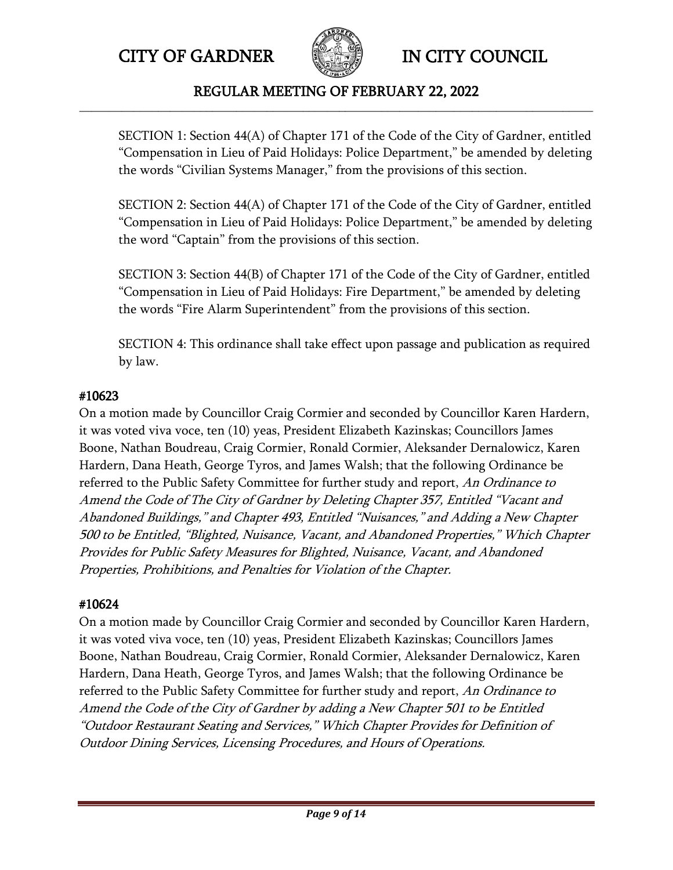

### REGULAR MEETING OF FEBRUARY 22, 2022 **\_\_\_\_\_\_\_\_\_\_\_\_\_\_\_\_\_\_\_\_\_\_\_\_\_\_\_\_\_\_\_\_\_\_\_\_\_\_\_\_\_\_\_\_\_\_\_\_\_\_\_\_\_\_\_\_\_\_\_\_\_\_\_\_\_\_\_\_\_\_\_\_\_\_\_\_\_\_\_\_\_\_\_\_\_**

SECTION 1: Section 44(A) of Chapter 171 of the Code of the City of Gardner, entitled "Compensation in Lieu of Paid Holidays: Police Department," be amended by deleting the words "Civilian Systems Manager," from the provisions of this section.

SECTION 2: Section 44(A) of Chapter 171 of the Code of the City of Gardner, entitled "Compensation in Lieu of Paid Holidays: Police Department," be amended by deleting the word "Captain" from the provisions of this section.

SECTION 3: Section 44(B) of Chapter 171 of the Code of the City of Gardner, entitled "Compensation in Lieu of Paid Holidays: Fire Department," be amended by deleting the words "Fire Alarm Superintendent" from the provisions of this section.

SECTION 4: This ordinance shall take effect upon passage and publication as required by law.

## #10623

On a motion made by Councillor Craig Cormier and seconded by Councillor Karen Hardern, it was voted viva voce, ten (10) yeas, President Elizabeth Kazinskas; Councillors James Boone, Nathan Boudreau, Craig Cormier, Ronald Cormier, Aleksander Dernalowicz, Karen Hardern, Dana Heath, George Tyros, and James Walsh; that the following Ordinance be referred to the Public Safety Committee for further study and report, An Ordinance to Amend the Code of The City of Gardner by Deleting Chapter 357, Entitled "Vacant and Abandoned Buildings," and Chapter 493, Entitled "Nuisances," and Adding a New Chapter 500 to be Entitled, "Blighted, Nuisance, Vacant, and Abandoned Properties," Which Chapter Provides for Public Safety Measures for Blighted, Nuisance, Vacant, and Abandoned Properties, Prohibitions, and Penalties for Violation of the Chapter.

# #10624

On a motion made by Councillor Craig Cormier and seconded by Councillor Karen Hardern, it was voted viva voce, ten (10) yeas, President Elizabeth Kazinskas; Councillors James Boone, Nathan Boudreau, Craig Cormier, Ronald Cormier, Aleksander Dernalowicz, Karen Hardern, Dana Heath, George Tyros, and James Walsh; that the following Ordinance be referred to the Public Safety Committee for further study and report, An Ordinance to Amend the Code of the City of Gardner by adding a New Chapter 501 to be Entitled "Outdoor Restaurant Seating and Services," Which Chapter Provides for Definition of Outdoor Dining Services, Licensing Procedures, and Hours of Operations.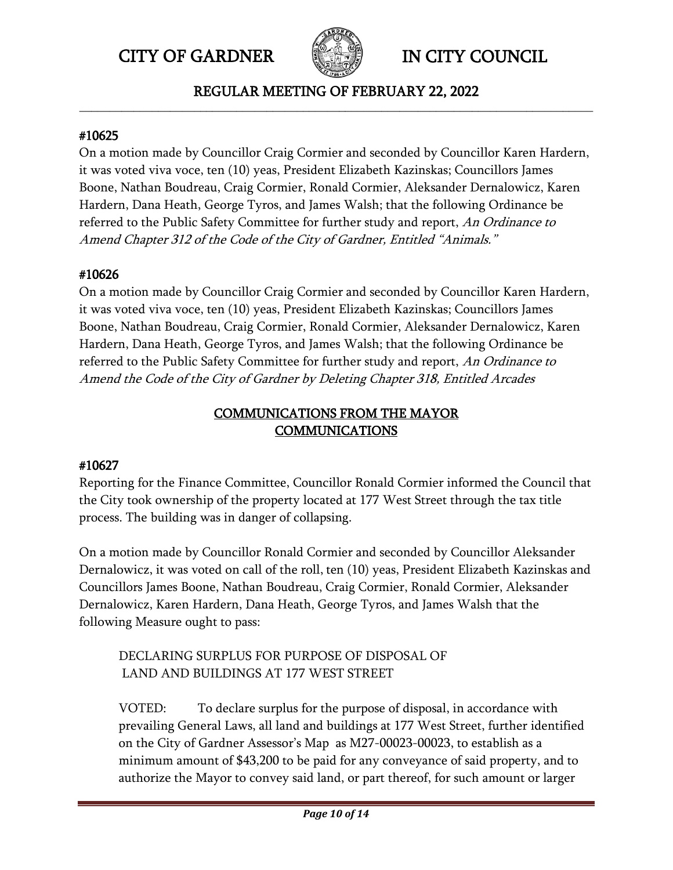

REGULAR MEETING OF FEBRUARY 22, 2022 **\_\_\_\_\_\_\_\_\_\_\_\_\_\_\_\_\_\_\_\_\_\_\_\_\_\_\_\_\_\_\_\_\_\_\_\_\_\_\_\_\_\_\_\_\_\_\_\_\_\_\_\_\_\_\_\_\_\_\_\_\_\_\_\_\_\_\_\_\_\_\_\_\_\_\_\_\_\_\_\_\_\_\_\_\_**

#### #10625

On a motion made by Councillor Craig Cormier and seconded by Councillor Karen Hardern, it was voted viva voce, ten (10) yeas, President Elizabeth Kazinskas; Councillors James Boone, Nathan Boudreau, Craig Cormier, Ronald Cormier, Aleksander Dernalowicz, Karen Hardern, Dana Heath, George Tyros, and James Walsh; that the following Ordinance be referred to the Public Safety Committee for further study and report, An Ordinance to Amend Chapter 312 of the Code of the City of Gardner, Entitled "Animals."

## #10626

On a motion made by Councillor Craig Cormier and seconded by Councillor Karen Hardern, it was voted viva voce, ten (10) yeas, President Elizabeth Kazinskas; Councillors James Boone, Nathan Boudreau, Craig Cormier, Ronald Cormier, Aleksander Dernalowicz, Karen Hardern, Dana Heath, George Tyros, and James Walsh; that the following Ordinance be referred to the Public Safety Committee for further study and report, An Ordinance to Amend the Code of the City of Gardner by Deleting Chapter 318, Entitled Arcades

# COMMUNICATIONS FROM THE MAYOR COMMUNICATIONS

# #10627

Reporting for the Finance Committee, Councillor Ronald Cormier informed the Council that the City took ownership of the property located at 177 West Street through the tax title process. The building was in danger of collapsing.

On a motion made by Councillor Ronald Cormier and seconded by Councillor Aleksander Dernalowicz, it was voted on call of the roll, ten (10) yeas, President Elizabeth Kazinskas and Councillors James Boone, Nathan Boudreau, Craig Cormier, Ronald Cormier, Aleksander Dernalowicz, Karen Hardern, Dana Heath, George Tyros, and James Walsh that the following Measure ought to pass:

# DECLARING SURPLUS FOR PURPOSE OF DISPOSAL OF LAND AND BUILDINGS AT 177 WEST STREET

VOTED: To declare surplus for the purpose of disposal, in accordance with prevailing General Laws, all land and buildings at 177 West Street, further identified on the City of Gardner Assessor's Map as M27-00023-00023, to establish as a minimum amount of \$43,200 to be paid for any conveyance of said property, and to authorize the Mayor to convey said land, or part thereof, for such amount or larger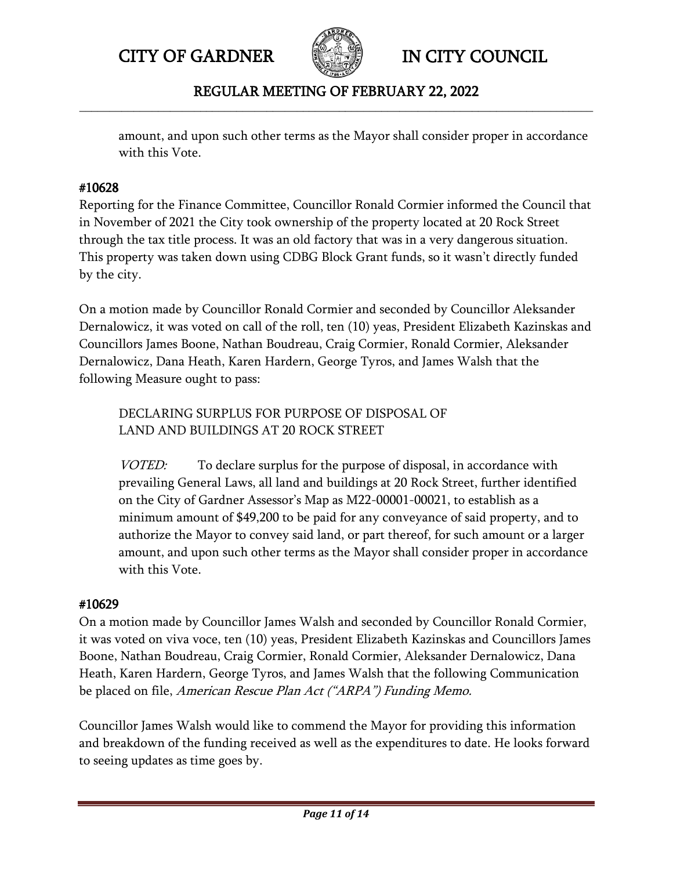

## REGULAR MEETING OF FEBRUARY 22, 2022 **\_\_\_\_\_\_\_\_\_\_\_\_\_\_\_\_\_\_\_\_\_\_\_\_\_\_\_\_\_\_\_\_\_\_\_\_\_\_\_\_\_\_\_\_\_\_\_\_\_\_\_\_\_\_\_\_\_\_\_\_\_\_\_\_\_\_\_\_\_\_\_\_\_\_\_\_\_\_\_\_\_\_\_\_\_**

amount, and upon such other terms as the Mayor shall consider proper in accordance with this Vote.

## #10628

Reporting for the Finance Committee, Councillor Ronald Cormier informed the Council that in November of 2021 the City took ownership of the property located at 20 Rock Street through the tax title process. It was an old factory that was in a very dangerous situation. This property was taken down using CDBG Block Grant funds, so it wasn't directly funded by the city.

On a motion made by Councillor Ronald Cormier and seconded by Councillor Aleksander Dernalowicz, it was voted on call of the roll, ten (10) yeas, President Elizabeth Kazinskas and Councillors James Boone, Nathan Boudreau, Craig Cormier, Ronald Cormier, Aleksander Dernalowicz, Dana Heath, Karen Hardern, George Tyros, and James Walsh that the following Measure ought to pass:

DECLARING SURPLUS FOR PURPOSE OF DISPOSAL OF LAND AND BUILDINGS AT 20 ROCK STREET

VOTED: To declare surplus for the purpose of disposal, in accordance with prevailing General Laws, all land and buildings at 20 Rock Street, further identified on the City of Gardner Assessor's Map as M22-00001-00021, to establish as a minimum amount of \$49,200 to be paid for any conveyance of said property, and to authorize the Mayor to convey said land, or part thereof, for such amount or a larger amount, and upon such other terms as the Mayor shall consider proper in accordance with this Vote.

## #10629

On a motion made by Councillor James Walsh and seconded by Councillor Ronald Cormier, it was voted on viva voce, ten (10) yeas, President Elizabeth Kazinskas and Councillors James Boone, Nathan Boudreau, Craig Cormier, Ronald Cormier, Aleksander Dernalowicz, Dana Heath, Karen Hardern, George Tyros, and James Walsh that the following Communication be placed on file, American Rescue Plan Act ("ARPA") Funding Memo.

Councillor James Walsh would like to commend the Mayor for providing this information and breakdown of the funding received as well as the expenditures to date. He looks forward to seeing updates as time goes by.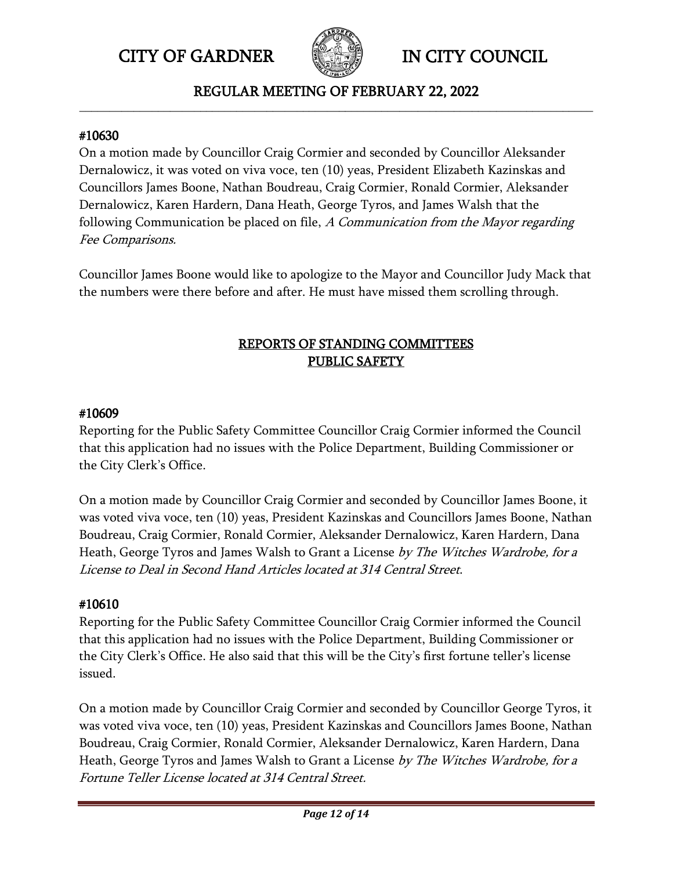

REGULAR MEETING OF FEBRUARY 22, 2022 **\_\_\_\_\_\_\_\_\_\_\_\_\_\_\_\_\_\_\_\_\_\_\_\_\_\_\_\_\_\_\_\_\_\_\_\_\_\_\_\_\_\_\_\_\_\_\_\_\_\_\_\_\_\_\_\_\_\_\_\_\_\_\_\_\_\_\_\_\_\_\_\_\_\_\_\_\_\_\_\_\_\_\_\_\_**

#### #10630

On a motion made by Councillor Craig Cormier and seconded by Councillor Aleksander Dernalowicz, it was voted on viva voce, ten (10) yeas, President Elizabeth Kazinskas and Councillors James Boone, Nathan Boudreau, Craig Cormier, Ronald Cormier, Aleksander Dernalowicz, Karen Hardern, Dana Heath, George Tyros, and James Walsh that the following Communication be placed on file, A Communication from the Mayor regarding Fee Comparisons.

Councillor James Boone would like to apologize to the Mayor and Councillor Judy Mack that the numbers were there before and after. He must have missed them scrolling through.

# REPORTS OF STANDING COMMITTEES PUBLIC SAFETY

### #10609

Reporting for the Public Safety Committee Councillor Craig Cormier informed the Council that this application had no issues with the Police Department, Building Commissioner or the City Clerk's Office.

On a motion made by Councillor Craig Cormier and seconded by Councillor James Boone, it was voted viva voce, ten (10) yeas, President Kazinskas and Councillors James Boone, Nathan Boudreau, Craig Cormier, Ronald Cormier, Aleksander Dernalowicz, Karen Hardern, Dana Heath, George Tyros and James Walsh to Grant a License by The Witches Wardrobe, for a License to Deal in Second Hand Articles located at 314 Central Street.

## #10610

Reporting for the Public Safety Committee Councillor Craig Cormier informed the Council that this application had no issues with the Police Department, Building Commissioner or the City Clerk's Office. He also said that this will be the City's first fortune teller's license issued.

On a motion made by Councillor Craig Cormier and seconded by Councillor George Tyros, it was voted viva voce, ten (10) yeas, President Kazinskas and Councillors James Boone, Nathan Boudreau, Craig Cormier, Ronald Cormier, Aleksander Dernalowicz, Karen Hardern, Dana Heath, George Tyros and James Walsh to Grant a License by The Witches Wardrobe, for a Fortune Teller License located at 314 Central Street.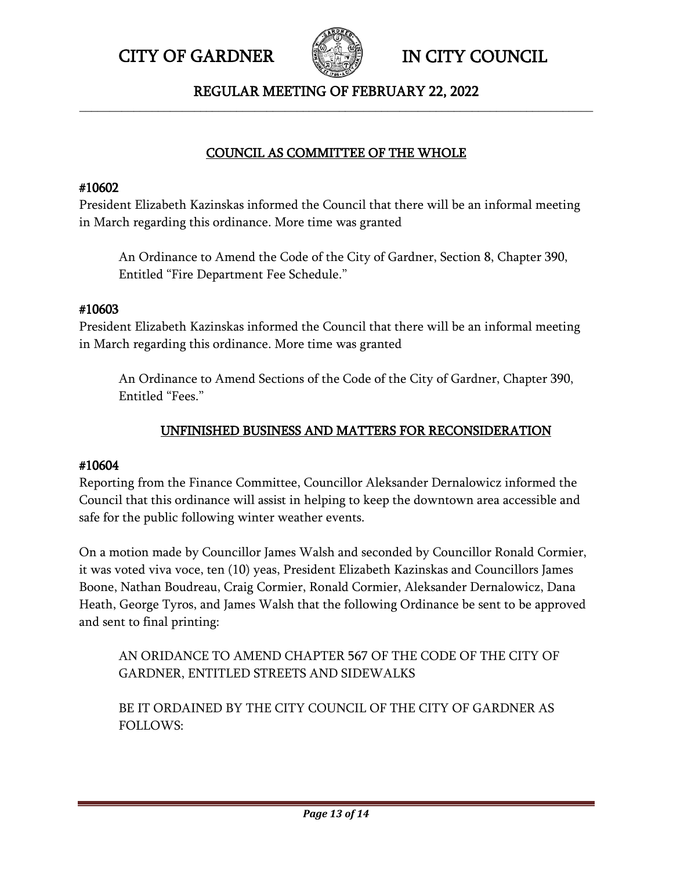

### REGULAR MEETING OF FEBRUARY 22, 2022 **\_\_\_\_\_\_\_\_\_\_\_\_\_\_\_\_\_\_\_\_\_\_\_\_\_\_\_\_\_\_\_\_\_\_\_\_\_\_\_\_\_\_\_\_\_\_\_\_\_\_\_\_\_\_\_\_\_\_\_\_\_\_\_\_\_\_\_\_\_\_\_\_\_\_\_\_\_\_\_\_\_\_\_\_\_**

# COUNCIL AS COMMITTEE OF THE WHOLE

## #10602

President Elizabeth Kazinskas informed the Council that there will be an informal meeting in March regarding this ordinance. More time was granted

An Ordinance to Amend the Code of the City of Gardner, Section 8, Chapter 390, Entitled "Fire Department Fee Schedule."

### #10603

President Elizabeth Kazinskas informed the Council that there will be an informal meeting in March regarding this ordinance. More time was granted

An Ordinance to Amend Sections of the Code of the City of Gardner, Chapter 390, Entitled "Fees."

## UNFINISHED BUSINESS AND MATTERS FOR RECONSIDERATION

## #10604

Reporting from the Finance Committee, Councillor Aleksander Dernalowicz informed the Council that this ordinance will assist in helping to keep the downtown area accessible and safe for the public following winter weather events.

On a motion made by Councillor James Walsh and seconded by Councillor Ronald Cormier, it was voted viva voce, ten (10) yeas, President Elizabeth Kazinskas and Councillors James Boone, Nathan Boudreau, Craig Cormier, Ronald Cormier, Aleksander Dernalowicz, Dana Heath, George Tyros, and James Walsh that the following Ordinance be sent to be approved and sent to final printing:

AN ORIDANCE TO AMEND CHAPTER 567 OF THE CODE OF THE CITY OF GARDNER, ENTITLED STREETS AND SIDEWALKS

BE IT ORDAINED BY THE CITY COUNCIL OF THE CITY OF GARDNER AS FOLLOWS: